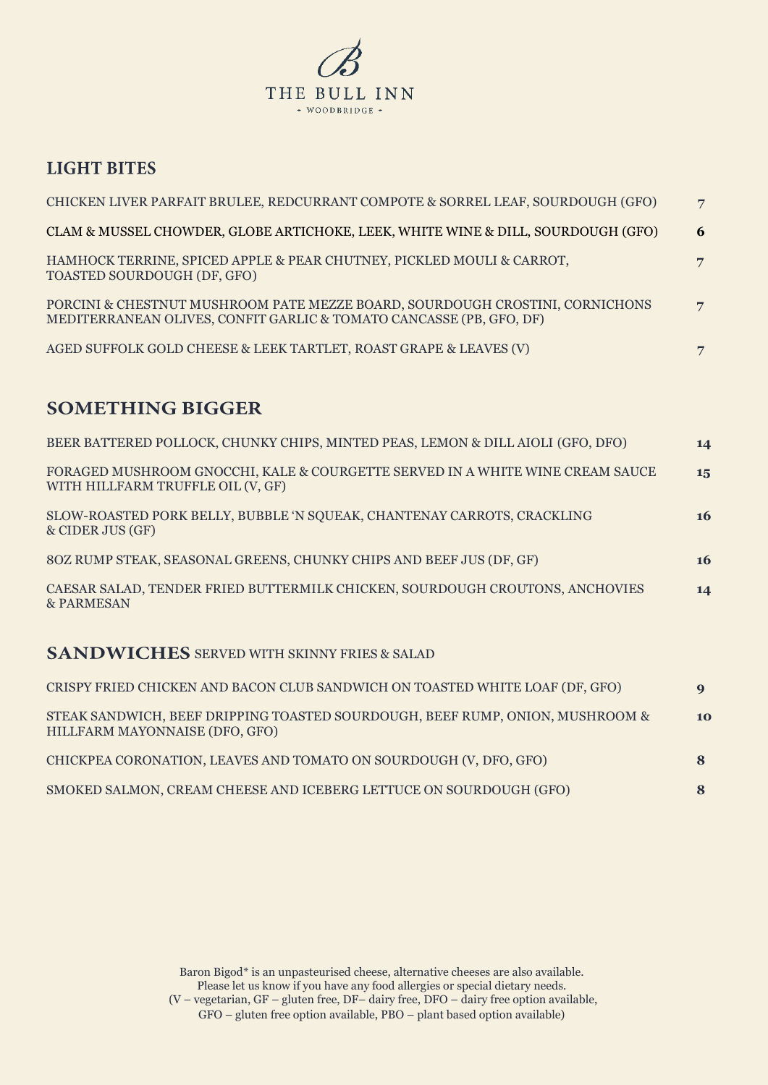

## **LIGHT BITES**

| CHICKEN LIVER PARFAIT BRULEE, REDCURRANT COMPOTE & SORREL LEAF, SOURDOUGH (GFO)                                                                     | $\overline{7}$ |
|-----------------------------------------------------------------------------------------------------------------------------------------------------|----------------|
| CLAM & MUSSEL CHOWDER, GLOBE ARTICHOKE, LEEK, WHITE WINE & DILL, SOURDOUGH (GFO)                                                                    | 6              |
| HAMHOCK TERRINE, SPICED APPLE & PEAR CHUTNEY, PICKLED MOULI & CARROT,<br>TOASTED SOURDOUGH (DF, GFO)                                                | 7              |
| PORCINI & CHESTNUT MUSHROOM PATE MEZZE BOARD, SOURDOUGH CROSTINI, CORNICHONS<br>MEDITERRANEAN OLIVES, CONFIT GARLIC & TOMATO CANCASSE (PB, GFO, DF) | $\overline{7}$ |
| AGED SUFFOLK GOLD CHEESE & LEEK TARTLET, ROAST GRAPE & LEAVES (V)                                                                                   | 7              |

## **SOMETHING BIGGER**

| BEER BATTERED POLLOCK, CHUNKY CHIPS, MINTED PEAS, LEMON & DILL AIOLI (GFO, DFO)                                    | 14        |
|--------------------------------------------------------------------------------------------------------------------|-----------|
| FORAGED MUSHROOM GNOCCHI, KALE & COURGETTE SERVED IN A WHITE WINE CREAM SAUCE<br>WITH HILLFARM TRUFFLE OIL (V, GF) | 15        |
| SLOW-ROASTED PORK BELLY, BUBBLE 'N SQUEAK, CHANTENAY CARROTS, CRACKLING<br>& CIDER JUS (GF)                        | <b>16</b> |
| 80Z RUMP STEAK, SEASONAL GREENS, CHUNKY CHIPS AND BEEF JUS (DF, GF)                                                | <b>16</b> |
| CAESAR SALAD, TENDER FRIED BUTTERMILK CHICKEN, SOURDOUGH CROUTONS, ANCHOVIES<br>& PARMESAN                         | 14        |
| $\alpha$ in the set of the set of $\alpha$ is the set of $\alpha$                                                  |           |

## SANDWICHES SERVED WITH SKINNY FRIES & SALAD

| CRISPY FRIED CHICKEN AND BACON CLUB SANDWICH ON TOASTED WHITE LOAF (DF, GFO)                                    | $\mathbf Q$ |
|-----------------------------------------------------------------------------------------------------------------|-------------|
| STEAK SANDWICH, BEEF DRIPPING TOASTED SOURDOUGH, BEEF RUMP, ONION, MUSHROOM &<br>HILLFARM MAYONNAISE (DFO, GFO) | 10          |
| CHICKPEA CORONATION, LEAVES AND TOMATO ON SOURDOUGH (V, DFO, GFO)                                               |             |
| SMOKED SALMON, CREAM CHEESE AND ICEBERG LETTUCE ON SOURDOUGH (GFO)                                              |             |

Baron Bigod\* is an unpasteurised cheese, alternative cheeses are also available. Please let us know if you have any food allergies or special dietary needs. (V – vegetarian, GF – gluten free, DF– dairy free, DFO – dairy free option available, GFO – gluten free option available, PBO – plant based option available)